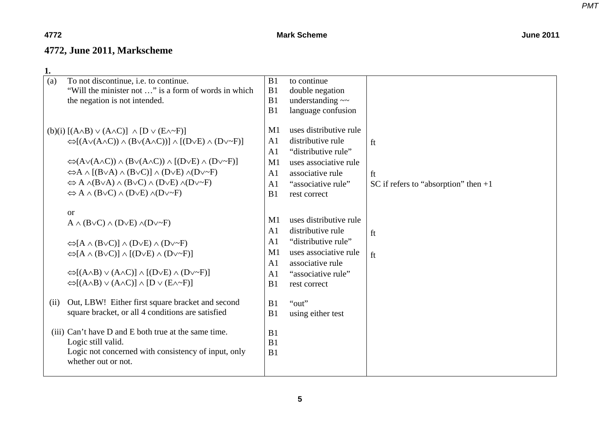## **4772, June 2011, Markscheme**

| 1.   |                                                                                                                   |                |                        |                                        |
|------|-------------------------------------------------------------------------------------------------------------------|----------------|------------------------|----------------------------------------|
| (a)  | To not discontinue, <i>i.e.</i> to continue.                                                                      | B1             | to continue            |                                        |
|      | "Will the minister not " is a form of words in which                                                              | B1             | double negation        |                                        |
|      | the negation is not intended.                                                                                     | B1             | understanding $\sim$   |                                        |
|      |                                                                                                                   | B1             | language confusion     |                                        |
|      |                                                                                                                   |                |                        |                                        |
|      | (b)(i) $[(A \wedge B) \vee (A \wedge C)] \wedge [D \vee (E \wedge \sim F)]$                                       | M1             | uses distributive rule |                                        |
|      | $\Leftrightarrow [(A \vee (A \wedge C)) \wedge (B \vee (A \wedge C))] \wedge [(D \vee E) \wedge (D \vee \neg F)]$ | A <sub>1</sub> | distributive rule      | ft                                     |
|      |                                                                                                                   | A1             | "distributive rule"    |                                        |
|      | $\Leftrightarrow (A \vee (A \wedge C)) \wedge (B \vee (A \wedge C)) \wedge [(D \vee E) \wedge (D \vee \sim F)]$   | M1             | uses associative rule  |                                        |
|      | $\Leftrightarrow$ A $\wedge$ [(B $\vee$ A) $\wedge$ (B $\vee$ C)] $\wedge$ (D $\vee$ E) $\wedge$ (D $\vee$ ~F)    | A <sub>1</sub> | associative rule       | ft                                     |
|      | $\Leftrightarrow$ A $\land$ (B $\lor$ A) $\land$ (B $\lor$ C) $\land$ (D $\lor$ E) $\land$ (D $\lor$ $\sim$ F)    | A1             | "associative rule"     | SC if refers to "absorption" then $+1$ |
|      | $\Leftrightarrow$ A $\land$ (B $\lor$ C) $\land$ (D $\lor$ E) $\land$ (D $\lor$ $\sim$ F)                         | B1             | rest correct           |                                        |
|      |                                                                                                                   |                |                        |                                        |
|      | <b>or</b>                                                                                                         |                | uses distributive rule |                                        |
|      | $A \wedge (B \vee C) \wedge (D \vee E) \wedge (D \vee \sim F)$                                                    | M1             |                        |                                        |
|      |                                                                                                                   | A <sub>1</sub> | distributive rule      | ft                                     |
|      | $\Leftrightarrow$ [A $\wedge$ (B $\vee$ C)] $\wedge$ (D $\vee$ E) $\wedge$ (D $\vee$ ~F)                          | A1             | "distributive rule"    |                                        |
|      | $\Leftrightarrow$ [A $\wedge$ (B $\vee$ C)] $\wedge$ [(D $\vee$ E) $\wedge$ (D $\vee$ $\sim$ F)]                  | M1             | uses associative rule  | ft                                     |
|      |                                                                                                                   | A <sub>1</sub> | associative rule       |                                        |
|      | $\Leftrightarrow$ [(A $\wedge$ B) $\vee$ (A $\wedge$ C)] $\wedge$ [(D $\vee$ E) $\wedge$ (D $\vee$ $\sim$ F)]     | A <sub>1</sub> | "associative rule"     |                                        |
|      | $\Leftrightarrow$ [(A $\wedge$ B) $\vee$ (A $\wedge$ C)] $\wedge$ [D $\vee$ (E $\wedge \neg$ F)]                  | B1             | rest correct           |                                        |
|      |                                                                                                                   |                |                        |                                        |
| (ii) | Out, LBW! Either first square bracket and second                                                                  | B1             | "out"                  |                                        |
|      | square bracket, or all 4 conditions are satisfied                                                                 | B1             | using either test      |                                        |
|      | (iii) Can't have D and E both true at the same time.                                                              |                |                        |                                        |
|      |                                                                                                                   | B <sub>1</sub> |                        |                                        |
|      | Logic still valid.                                                                                                | B <sub>1</sub> |                        |                                        |
|      | Logic not concerned with consistency of input, only<br>whether out or not.                                        | B <sub>1</sub> |                        |                                        |
|      |                                                                                                                   |                |                        |                                        |
|      |                                                                                                                   |                |                        |                                        |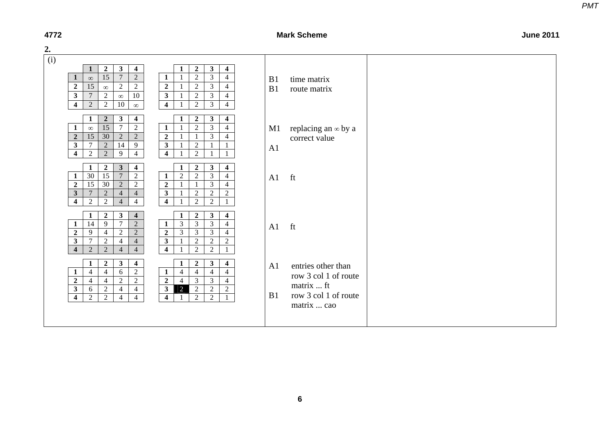| 2. |                                                                                                                                                                                                                                                                                                                                                                                                                                                                                                                                                                                                                                                                                                                                                                                |          |                                                                                                 |  |
|----|--------------------------------------------------------------------------------------------------------------------------------------------------------------------------------------------------------------------------------------------------------------------------------------------------------------------------------------------------------------------------------------------------------------------------------------------------------------------------------------------------------------------------------------------------------------------------------------------------------------------------------------------------------------------------------------------------------------------------------------------------------------------------------|----------|-------------------------------------------------------------------------------------------------|--|
|    | (i)<br>$\mathbf{3}$<br>$\overline{\mathbf{4}}$<br>$\boldsymbol{2}$<br>$\mathbf{3}$<br>$\overline{\mathbf{4}}$<br>$\boldsymbol{2}$<br>$\mathbf{1}$<br>1<br>$\overline{15}$<br>$\overline{7}$<br>$\overline{2}$<br>$\overline{2}$<br>$\overline{3}$<br>$\overline{4}$<br>$\mathbf{1}$<br>-1<br>$\infty$<br>$\mathbf{1}$<br>$\overline{2}$<br>$\overline{2}$<br>$\overline{15}$<br>$\overline{2}$<br>$\overline{2}$<br>$\mathfrak{Z}$<br>2<br>$\overline{4}$<br>$\mathbf{1}$<br>$\infty$<br>$\overline{2}$<br>$\mathfrak{Z}$<br>$\mathbf{3}$<br>$\overline{7}$<br>10<br>$\mathbf{3}$<br>2<br>$\overline{4}$<br>-1<br>$\infty$<br>$\overline{2}$<br>2<br>10<br>$\overline{\mathbf{4}}$<br>$\overline{2}$<br>3<br>$\overline{4}$<br>$\overline{\mathbf{4}}$<br>-1<br>$\infty$       | B1<br>B1 | time matrix<br>route matrix                                                                     |  |
|    | $\mathbf{3}$<br>$\mathbf{3}$<br>$\overline{2}$<br>$\overline{2}$<br>$\overline{\mathbf{4}}$<br>$\overline{\mathbf{4}}$<br>1<br>$\overline{15}$<br>$\overline{7}$<br>$\overline{3}$<br>$\overline{2}$<br>2<br>$\overline{4}$<br>$\mathbf{1}$<br>$\mathbf{1}$<br>$\mathbf{1}$<br>$\infty$<br>30<br>15<br>$\overline{2}$<br>$\overline{2}$<br>$\overline{2}$<br>$\boldsymbol{2}$<br>$\mathfrak{Z}$<br>$\overline{4}$<br>1<br>$\mathbf{3}$<br>2<br>14<br>3 <sup>1</sup><br>7<br>9<br>2<br>$\mathbf{1}$<br>$\overline{2}$<br>$\overline{2}$<br>$\overline{\mathbf{4}}$<br>9<br>$\overline{2}$<br>$\overline{\mathbf{4}}$<br>$\overline{4}$<br>$\overline{1}$                                                                                                                        | M1<br>A1 | replacing an $\infty$ by a<br>correct value                                                     |  |
|    | $\mathbf{3}$<br>$\mathbf{3}$<br>$\overline{2}$<br>$\overline{\mathbf{4}}$<br>$\boldsymbol{2}$<br>$\overline{\mathbf{4}}$<br>1<br>15<br>$\overline{7}$<br>$\overline{30}$<br>$\overline{2}$<br>$\overline{2}$<br>$\overline{2}$<br>$\overline{3}$<br>$\overline{4}$<br>$\mathbf{1}$<br>1<br>$\mathbf 2$<br>$\overline{30}$<br>15<br>$\overline{2}$<br>2<br>$\boldsymbol{2}$<br>3<br>$\overline{4}$<br>1<br>-1<br>$\overline{2}$<br>3<br>2<br>3 <sup>1</sup><br>$\overline{2}$<br>$\overline{2}$<br>$\overline{7}$<br>$\overline{4}$<br>$\overline{4}$<br>-1<br>$\overline{2}$<br>$\overline{2}$<br>2<br>$\overline{\mathbf{4}}$<br>$\overline{2}$<br>$\overline{\mathbf{4}}$<br>$\overline{4}$<br>$\overline{4}$<br>$\overline{\phantom{0}}$                                    | A1       | ft                                                                                              |  |
|    | $\mathbf{3}$<br>$\mathbf{3}$<br>$\boldsymbol{2}$<br>$\boldsymbol{2}$<br>$\overline{\mathbf{4}}$<br>$\overline{\mathbf{4}}$<br>1<br>$\overline{7}$<br>9<br>$\overline{2}$<br>$\overline{3}$<br>$\mathfrak{Z}$<br>14<br>$\mathfrak{Z}$<br>$\overline{4}$<br>$\mathbf{1}$<br>$\mathbf{1}$<br>$\overline{2}$<br>$\overline{2}$<br>$\overline{3}$<br>$\overline{2}$<br>9<br>$\overline{4}$<br>$\boldsymbol{2}$<br>$\overline{3}$<br>3<br>$\overline{4}$<br>$\overline{\mathbf{3}}$<br>$\sqrt{2}$<br>$\mathbf{3}$<br>$\overline{2}$<br>$\overline{2}$<br>$\boldsymbol{2}$<br>$\tau$<br>$\overline{4}$<br>$\overline{4}$<br>$\mathbf{1}$<br>$\overline{2}$<br>2<br>$\overline{\mathbf{4}}$<br>2<br>$\overline{\mathbf{4}}$<br>2<br>$\overline{4}$<br>$\overline{4}$<br>$\overline{1}$ | A1       | ft                                                                                              |  |
|    | $\mathbf{3}$<br>$\overline{2}$<br>$\mathbf{3}$<br>$\overline{2}$<br>$\overline{\mathbf{4}}$<br>$\overline{\mathbf{4}}$<br>1<br>1<br>$\overline{2}$<br>$\overline{4}$<br>$\overline{4}$<br>$\overline{4}$<br>6<br>$\overline{4}$<br>$\overline{4}$<br>$\overline{4}$<br>$\mathbf{1}$<br>$\mathbf{1}$<br>$\overline{2}$<br>$\overline{2}$<br>$\overline{2}$<br>$\mathfrak{Z}$<br>$\overline{2}$<br>$\overline{3}$<br>$\overline{4}$<br>$\overline{4}$<br>$\overline{4}$<br>$\overline{4}$<br>$\sqrt{2}$<br>$\vert$ 2<br>$\overline{2}$<br>$\mathbf{3}$<br>$\overline{4}$<br>3 <sup>1</sup><br>2<br>$\overline{2}$<br>$\overline{4}$<br>6<br>$\overline{2}$<br>$\overline{2}$<br>2<br>2<br>$\overline{4}$<br>$\overline{4}$<br>$\overline{\mathbf{4}}$<br>$\overline{4}$          | A1<br>B1 | entries other than<br>row 3 col 1 of route<br>matrix  ft<br>row 3 col 1 of route<br>matrix  cao |  |
|    |                                                                                                                                                                                                                                                                                                                                                                                                                                                                                                                                                                                                                                                                                                                                                                                |          |                                                                                                 |  |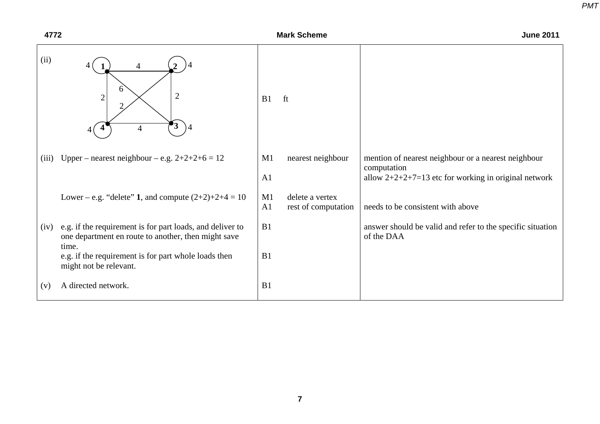| 4772  |                                                                                                                           |                      | <b>Mark Scheme</b>                     | <b>June 2011</b>                                                                                                             |  |
|-------|---------------------------------------------------------------------------------------------------------------------------|----------------------|----------------------------------------|------------------------------------------------------------------------------------------------------------------------------|--|
| (ii)  | $\overline{4}$<br>6<br>$\overline{2}$<br>$\overline{c}$<br>3<br>4                                                         | B <sub>1</sub>       | ft                                     |                                                                                                                              |  |
| (iii) | Upper – nearest neighbour – e.g. $2+2+2+6=12$                                                                             | M1<br>A1             | nearest neighbour                      | mention of nearest neighbour or a nearest neighbour<br>computation<br>allow $2+2+2+7=13$ etc for working in original network |  |
|       | Lower – e.g. "delete" 1, and compute $(2+2)+2+4=10$                                                                       | M1<br>A <sub>1</sub> | delete a vertex<br>rest of computation | needs to be consistent with above                                                                                            |  |
| (iv)  | e.g. if the requirement is for part loads, and deliver to<br>one department en route to another, then might save<br>time. | B1                   |                                        | answer should be valid and refer to the specific situation<br>of the DAA                                                     |  |
|       | e.g. if the requirement is for part whole loads then<br>might not be relevant.                                            | B1                   |                                        |                                                                                                                              |  |
| (v)   | A directed network.                                                                                                       | B1                   |                                        |                                                                                                                              |  |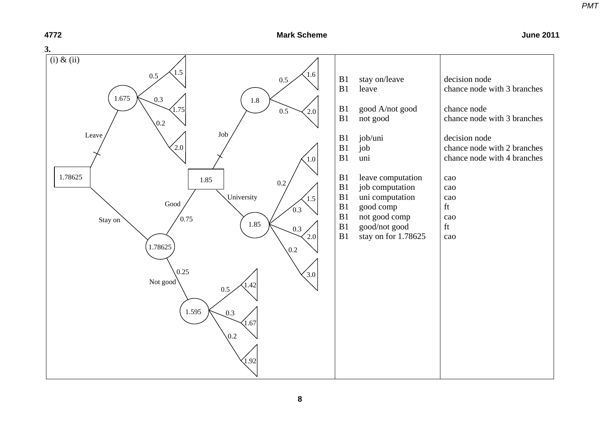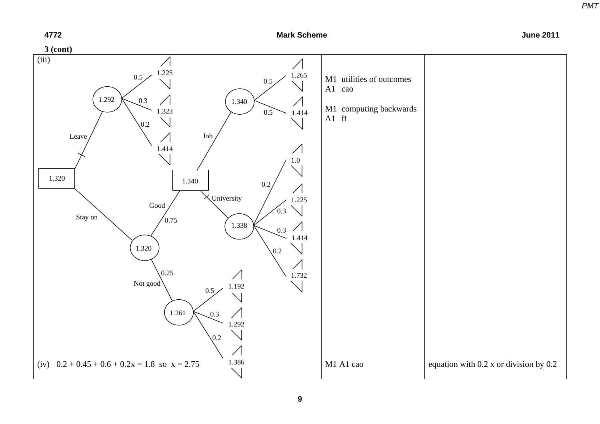

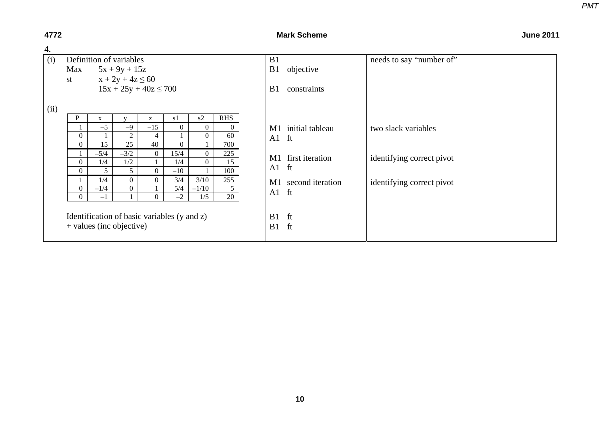| 4.   |                |               |                            |                                             |                |                                  |                 |                |                     |                           |
|------|----------------|---------------|----------------------------|---------------------------------------------|----------------|----------------------------------|-----------------|----------------|---------------------|---------------------------|
| (i)  |                |               | Definition of variables    |                                             |                |                                  |                 | B1             |                     | needs to say "number of"  |
|      | Max            |               | $5x + 9y + 15z$            |                                             |                |                                  |                 | B <sub>1</sub> | objective           |                           |
|      | st             |               | $x + 2y + 4z \le 60$       |                                             |                |                                  |                 |                |                     |                           |
|      |                |               |                            | $15x + 25y + 40z \le 700$                   |                |                                  |                 | B <sub>1</sub> | constraints         |                           |
|      |                |               |                            |                                             |                |                                  |                 |                |                     |                           |
| (ii) |                |               |                            |                                             |                |                                  |                 |                |                     |                           |
|      | P              | X             |                            | Z                                           | s1             | s2                               | <b>RHS</b>      |                |                     |                           |
|      |                | $-5$          | $-9$                       | $-15$                                       | $\overline{0}$ | $\overline{0}$                   | $\theta$        |                | M1 initial tableau  | two slack variables       |
|      | $\overline{0}$ |               | $\overline{2}$             | 4                                           |                | $\overline{0}$                   | 60              | $A1$ ft        |                     |                           |
|      | $\theta$       | 15            | 25                         | 40                                          | $\overline{0}$ |                                  | 700             |                |                     |                           |
|      | $\overline{0}$ | $-5/4$<br>1/4 | $-3/2$<br>1/2              | $\Omega$                                    | 15/4<br>1/4    | $\overline{0}$<br>$\overline{0}$ | 225             |                | M1 first iteration  | identifying correct pivot |
|      | $\Omega$       | 5             | 5 <sup>5</sup>             | $\Omega$                                    | $-10$          |                                  | 15<br>100       | $A1$ ft        |                     |                           |
|      |                | 1/4           | $\overline{0}$             | $\theta$                                    | 3/4            | 3/10                             | 255             |                |                     |                           |
|      | $\Omega$       | $-1/4$        | $\Omega$                   |                                             | 5/4            | $-1/10$                          | 5               |                | M1 second iteration | identifying correct pivot |
|      |                | $-1$          |                            | $\Omega$                                    | $-2$           | 1/5                              | $\overline{20}$ | $A1$ ft        |                     |                           |
|      |                |               |                            |                                             |                |                                  |                 |                |                     |                           |
|      |                |               |                            | Identification of basic variables (y and z) |                |                                  |                 | B1 ft          |                     |                           |
|      |                |               | $+$ values (inc objective) |                                             |                |                                  |                 | B1 ft          |                     |                           |
|      |                |               |                            |                                             |                |                                  |                 |                |                     |                           |